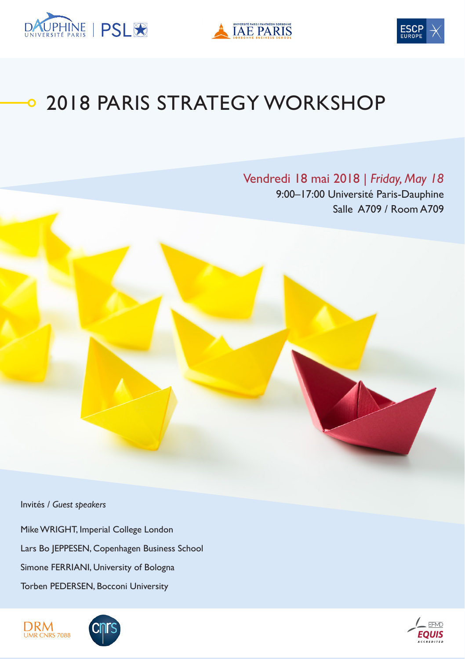





# 2018 PARIS STRATEGY WORKSHOP

Vendredi 18 mai 2018 | *Friday, May 18* 9:00–17:00 Université Paris-Dauphine Salle A709 / Room A709

Invités / *Guest speakers*

Mike WRIGHT, Imperial College London Lars Bo JEPPESEN, Copenhagen Business School Simone FERRIANI, University of Bologna Torben PEDERSEN, Bocconi University